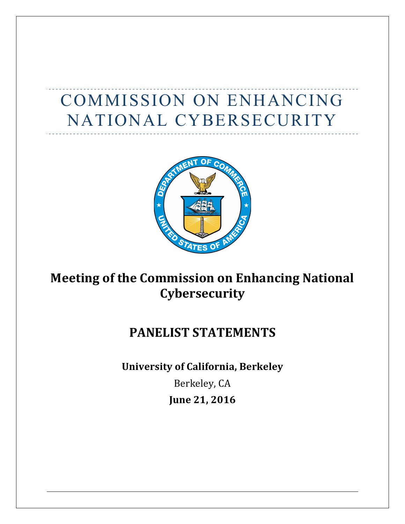# COMMISSION ON ENHANCING NATIONAL CYBERSECURITY



## **Meeting of the Commission on Enhancing National Cybersecurity**

## **PANELIST STATEMENTS**

**University of California, Berkeley** Berkeley, CA **June 21, 2016**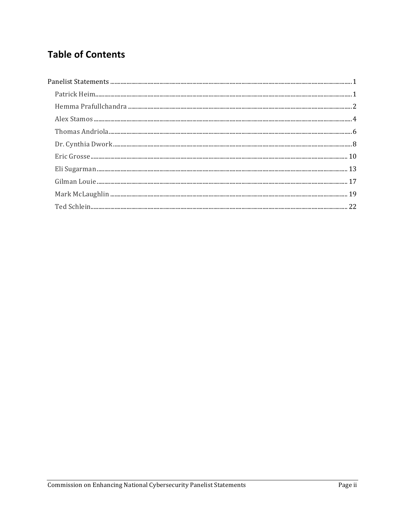## **Table of Contents**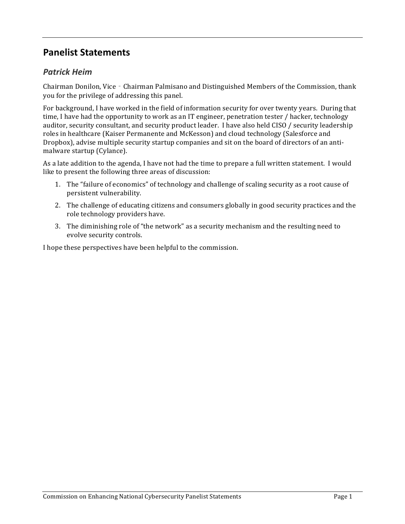## **Panelist Statements**

## *Patrick Heim*

Chairman Donilon, Vice - Chairman Palmisano and Distinguished Members of the Commission, thank you for the privilege of addressing this panel.

For background, I have worked in the field of information security for over twenty years. During that time, I have had the opportunity to work as an IT engineer, penetration tester / hacker, technology auditor, security consultant, and security product leader. I have also held CISO / security leadership roles in healthcare (Kaiser Permanente and McKesson) and cloud technology (Salesforce and Dropbox), advise multiple security startup companies and sit on the board of directors of an antimalware startup (Cylance).

As a late addition to the agenda, I have not had the time to prepare a full written statement. I would like to present the following three areas of discussion:

- 1. The "failure of economics" of technology and challenge of scaling security as a root cause of persistent vulnerability.
- 2. The challenge of educating citizens and consumers globally in good security practices and the role technology providers have.
- 3. The diminishing role of "the network" as a security mechanism and the resulting need to evolve security controls.

I hope these perspectives have been helpful to the commission.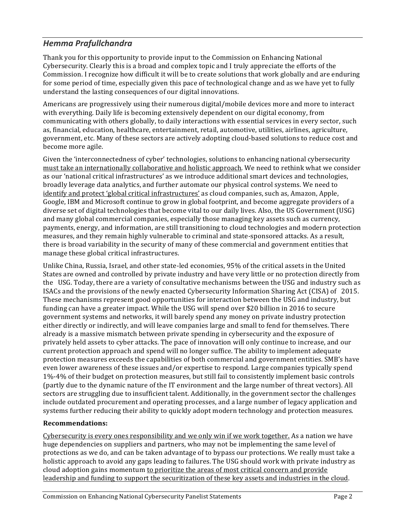## *Hemma Prafullchandra*

Thank you for this opportunity to provide input to the Commission on Enhancing National Cybersecurity. Clearly this is a broad and complex topic and I truly appreciate the efforts of the Commission. I recognize how difficult it will be to create solutions that work globally and are enduring for some period of time, especially given this pace of technological change and as we have yet to fully understand the lasting consequences of our digital innovations.

Americans are progressively using their numerous digital/mobile devices more and more to interact with everything. Daily life is becoming extensively dependent on our digital economy, from communicating with others globally, to daily interactions with essential services in every sector, such as, financial, education, healthcare, entertainment, retail, automotive, utilities, airlines, agriculture, government, etc. Many of these sectors are actively adopting cloud-based solutions to reduce cost and become more agile.

Given the 'interconnectedness of cyber' technologies, solutions to enhancing national cybersecurity must take an internationally collaborative and holistic approach. We need to rethink what we consider as our 'national critical infrastructures' as we introduce additional smart devices and technologies, broadly leverage data analytics, and further automate our physical control systems. We need to identify and protect 'global critical infrastructures' as cloud companies, such as, Amazon, Apple, Google, IBM and Microsoft continue to grow in global footprint, and become aggregate providers of a diverse set of digital technologies that become vital to our daily lives. Also, the US Government (USG) and many global commercial companies, especially those managing key assets such as currency, payments, energy, and information, are still transitioning to cloud technologies and modern protection measures, and they remain highly vulnerable to criminal and state-sponsored attacks. As a result, there is broad variability in the security of many of these commercial and government entities that manage these global critical infrastructures.

Unlike China, Russia, Israel, and other state-led economies, 95% of the critical assets in the United States are owned and controlled by private industry and have very little or no protection directly from the USG. Today, there are a variety of consultative mechanisms between the USG and industry such as ISACs and the provisions of the newly enacted Cybersecurity Information Sharing Act (CISA) of 2015. These mechanisms represent good opportunities for interaction between the USG and industry, but funding can have a greater impact. While the USG will spend over \$20 billion in 2016 to secure government systems and networks, it will barely spend any money on private industry protection either directly or indirectly, and will leave companies large and small to fend for themselves. There already is a massive mismatch between private spending in cybersecurity and the exposure of privately held assets to cyber attacks. The pace of innovation will only continue to increase, and our current protection approach and spend will no longer suffice. The ability to implement adequate protection measures exceeds the capabilities of both commercial and government entities. SMB's have even lower awareness of these issues and/or expertise to respond. Large companies typically spend 1%-4% of their budget on protection measures, but still fail to consistently implement basic controls (partly due to the dynamic nature of the IT environment and the large number of threat vectors). All sectors are struggling due to insufficient talent. Additionally, in the government sector the challenges include outdated procurement and operating processes, and a large number of legacy application and systems further reducing their ability to quickly adopt modern technology and protection measures.

#### **Recommendations:**

Cybersecurity is every ones responsibility and we only win if we work together. As a nation we have huge dependencies on suppliers and partners, who may not be implementing the same level of protections as we do, and can be taken advantage of to bypass our protections. We really must take a holistic approach to avoid any gaps leading to failures. The USG should work with private industry as cloud adoption gains momentum to prioritize the areas of most critical concern and provide leadership and funding to support the securitization of these key assets and industries in the cloud.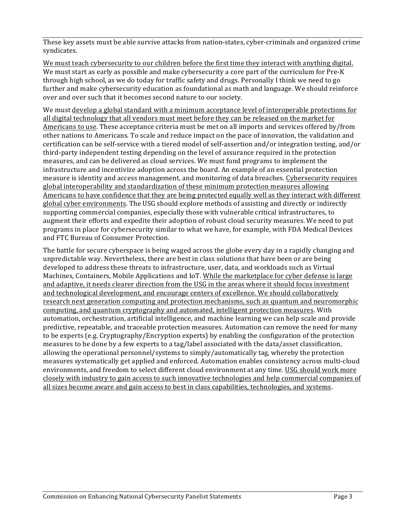These key assets must be able survive attacks from nation-states, cyber-criminals and organized crime syndicates. 

We must teach cybersecurity to our children before the first time they interact with anything digital. We must start as early as possible and make cybersecurity a core part of the curriculum for Pre-K through high school, as we do today for traffic safety and drugs. Personally I think we need to go further and make cybersecurity education as foundational as math and language. We should reinforce over and over such that it becomes second nature to our society.

We must develop a global standard with a minimum acceptance level of interoperable protections for all digital technology that all vendors must meet before they can be released on the market for Americans to use. These acceptance criteria must be met on all imports and services offered by/from other nations to Americans. To scale and reduce impact on the pace of innovation, the validation and certification can be self-service with a tiered model of self-assertion and/or integration testing, and/or third-party independent testing depending on the level of assurance required in the protection measures, and can be delivered as cloud services. We must fund programs to implement the infrastructure and incentivize adoption across the board. An example of an essential protection measure is identity and access management, and monitoring of data breaches. Cybersecurity requires global interoperability and standardization of these minimum protection measures allowing Americans to have confidence that they are being protected equally well as they interact with different global cyber environments. The USG should explore methods of assisting and directly or indirectly supporting commercial companies, especially those with vulnerable critical infrastructures, to augment their efforts and expedite their adoption of robust cloud security measures. We need to put programs in place for cybersecurity similar to what we have, for example, with FDA Medical Devices and FTC Bureau of Consumer Protection.

The battle for secure cyberspace is being waged across the globe every day in a rapidly changing and unpredictable way. Nevertheless, there are best in class solutions that have been or are being developed to address these threats to infrastructure, user, data, and workloads such as Virtual Machines, Containers, Mobile Applications and IoT. While the marketplace for cyber defense is large and adaptive, it needs clearer direction from the USG in the areas where it should focus investment and technological development, and encourage centers of excellence. We should collaboratively research next generation computing and protection mechanisms, such as quantum and neuromorphic computing, and quantum cryptography and automated, intelligent protection measures. With automation, orchestration, artificial intelligence, and machine learning we can help scale and provide predictive, repeatable, and traceable protection measures. Automation can remove the need for many to be experts (e.g. Cryptography/Encryption experts) by enabling the configuration of the protection measures to be done by a few experts to a tag/label associated with the data/asset classification, allowing the operational personnel/systems to  $simply/automatically$  tag, whereby the protection measures systematically get applied and enforced. Automation enables consistency across multi-cloud environments, and freedom to select different cloud environment at any time. USG should work more closely with industry to gain access to such innovative technologies and help commercial companies of all sizes become aware and gain access to best in class capabilities, technologies, and systems.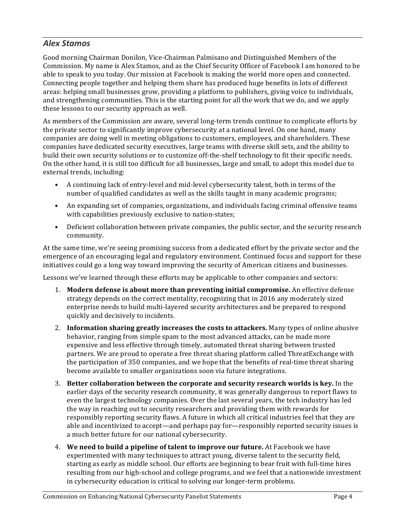## *Alex Stamos*

Good morning Chairman Donilon, Vice-Chairman Palmisano and Distinguished Members of the Commission. My name is Alex Stamos, and as the Chief Security Officer of Facebook I am honored to be able to speak to you today. Our mission at Facebook is making the world more open and connected. Connecting people together and helping them share has produced huge benefits in lots of different areas: helping small businesses grow, providing a platform to publishers, giving voice to individuals, and strengthening communities. This is the starting point for all the work that we do, and we apply these lessons to our security approach as well.

As members of the Commission are aware, several long-term trends continue to complicate efforts by the private sector to significantly improve cybersecurity at a national level. On one hand, many companies are doing well in meeting obligations to customers, employees, and shareholders. These companies have dedicated security executives, large teams with diverse skill sets, and the ability to build their own security solutions or to customize off-the-shelf technology to fit their specific needs. On the other hand, it is still too difficult for all businesses, large and small, to adopt this model due to external trends, including:

- A continuing lack of entry-level and mid-level cybersecurity talent, both in terms of the number of qualified candidates as well as the skills taught in many academic programs;
- An expanding set of companies, organizations, and individuals facing criminal offensive teams with capabilities previously exclusive to nation-states;
- Deficient collaboration between private companies, the public sector, and the security research community.

At the same time, we're seeing promising success from a dedicated effort by the private sector and the emergence of an encouraging legal and regulatory environment. Continued focus and support for these initiatives could go a long way toward improving the security of American citizens and businesses.

Lessons we've learned through these efforts may be applicable to other companies and sectors:

- 1. **Modern defense is about more than preventing initial compromise.** An effective defense strategy depends on the correct mentality, recognizing that in 2016 any moderately sized enterprise needs to build multi-layered security architectures and be prepared to respond quickly and decisively to incidents.
- 2. Information sharing greatly increases the costs to attackers. Many types of online abusive behavior, ranging from simple spam to the most advanced attacks, can be made more expensive and less effective through timely, automated threat sharing between trusted partners. We are proud to operate a free threat sharing platform called ThreatExchange with the participation of 350 companies, and we hope that the benefits of real-time threat sharing become available to smaller organizations soon via future integrations.
- 3. Better collaboration between the corporate and security research worlds is key. In the earlier days of the security research community, it was generally dangerous to report flaws to even the largest technology companies. Over the last several years, the tech industry has led the way in reaching out to security researchers and providing them with rewards for responsibly reporting security flaws. A future in which all critical industries feel that they are able and incentivized to accept—and perhaps pay for—responsibly reported security issues is a much better future for our national cybersecurity.
- 4. **We need to build a pipeline of talent to improve our future.** At Facebook we have experimented with many techniques to attract young, diverse talent to the security field, starting as early as middle school. Our efforts are beginning to bear fruit with full-time hires resulting from our high-school and college programs, and we feel that a nationwide investment in cybersecurity education is critical to solving our longer-term problems.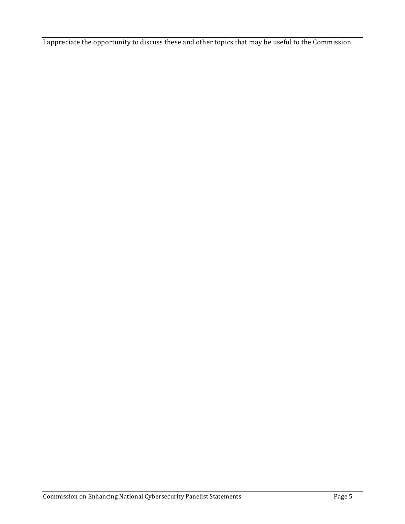I appreciate the opportunity to discuss these and other topics that may be useful to the Commission.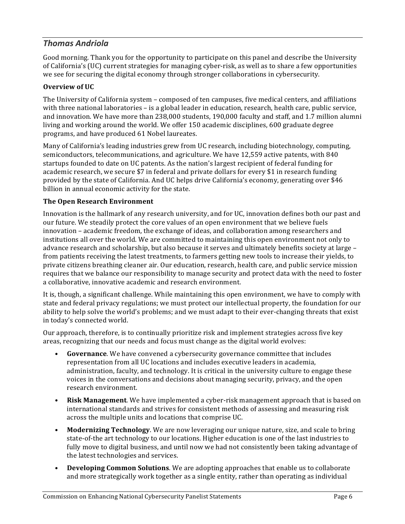## *Thomas Andriola*

Good morning. Thank you for the opportunity to participate on this panel and describe the University of California's (UC) current strategies for managing cyber-risk, as well as to share a few opportunities we see for securing the digital economy through stronger collaborations in cybersecurity.

#### **Overview of UC**

The University of California system – composed of ten campuses, five medical centers, and affiliations with three national laboratories – is a global leader in education, research, health care, public service, and innovation. We have more than 238,000 students, 190,000 faculty and staff, and 1.7 million alumni living and working around the world. We offer 150 academic disciplines, 600 graduate degree programs, and have produced 61 Nobel laureates.

Many of California's leading industries grew from UC research, including biotechnology, computing, semiconductors, telecommunications, and agriculture. We have 12,559 active patents, with 840 startups founded to date on UC patents. As the nation's largest recipient of federal funding for academic research, we secure \$7 in federal and private dollars for every \$1 in research funding provided by the state of California. And UC helps drive California's economy, generating over \$46 billion in annual economic activity for the state.

#### **The Open Research Environment**

Innovation is the hallmark of any research university, and for UC, innovation defines both our past and our future. We steadily protect the core values of an open environment that we believe fuels innovation – academic freedom, the exchange of ideas, and collaboration among researchers and institutions all over the world. We are committed to maintaining this open environment not only to advance research and scholarship, but also because it serves and ultimately benefits society at large from patients receiving the latest treatments, to farmers getting new tools to increase their yields, to private citizens breathing cleaner air. Our education, research, health care, and public service mission requires that we balance our responsibility to manage security and protect data with the need to foster a collaborative, innovative academic and research environment.

It is, though, a significant challenge. While maintaining this open environment, we have to comply with state and federal privacy regulations; we must protect our intellectual property, the foundation for our ability to help solve the world's problems; and we must adapt to their ever-changing threats that exist in today's connected world.

Our approach, therefore, is to continually prioritize risk and implement strategies across five key areas, recognizing that our needs and focus must change as the digital world evolves:

- **Governance**. We have convened a cybersecurity governance committee that includes representation from all UC locations and includes executive leaders in academia, administration, faculty, and technology. It is critical in the university culture to engage these voices in the conversations and decisions about managing security, privacy, and the open research environment.
- **Risk Management**. We have implemented a cyber-risk management approach that is based on international standards and strives for consistent methods of assessing and measuring risk across the multiple units and locations that comprise UC.
- **Modernizing Technology**. We are now leveraging our unique nature, size, and scale to bring state-of-the art technology to our locations. Higher education is one of the last industries to fully move to digital business, and until now we had not consistently been taking advantage of the latest technologies and services.
- **Developing Common Solutions**. We are adopting approaches that enable us to collaborate and more strategically work together as a single entity, rather than operating as individual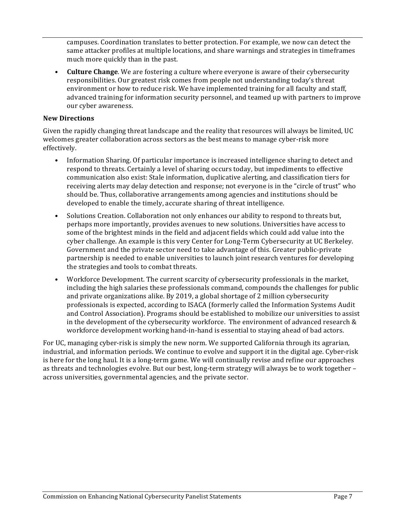campuses. Coordination translates to better protection. For example, we now can detect the same attacker profiles at multiple locations, and share warnings and strategies in timeframes much more quickly than in the past.

• **Culture Change**. We are fostering a culture where everyone is aware of their cybersecurity responsibilities. Our greatest risk comes from people not understanding today's threat environment or how to reduce risk. We have implemented training for all faculty and staff, advanced training for information security personnel, and teamed up with partners to improve our cyber awareness.

#### **New Directions**

Given the rapidly changing threat landscape and the reality that resources will always be limited, UC welcomes greater collaboration across sectors as the best means to manage cyber-risk more effectively. 

- Information Sharing. Of particular importance is increased intelligence sharing to detect and respond to threats. Certainly a level of sharing occurs today, but impediments to effective communication also exist: Stale information, duplicative alerting, and classification tiers for receiving alerts may delay detection and response; not everyone is in the "circle of trust" who should be. Thus, collaborative arrangements among agencies and institutions should be developed to enable the timely, accurate sharing of threat intelligence.
- Solutions Creation. Collaboration not only enhances our ability to respond to threats but, perhaps more importantly, provides avenues to new solutions. Universities have access to some of the brightest minds in the field and adjacent fields which could add value into the cyber challenge. An example is this very Center for Long-Term Cybersecurity at UC Berkeley. Government and the private sector need to take advantage of this. Greater public-private partnership is needed to enable universities to launch joint research ventures for developing the strategies and tools to combat threats.
- Workforce Development. The current scarcity of cybersecurity professionals in the market, including the high salaries these professionals command, compounds the challenges for public and private organizations alike. By 2019, a global shortage of 2 million cybersecurity professionals is expected, according to ISACA (formerly called the Information Systems Audit and Control Association). Programs should be established to mobilize our universities to assist in the development of the cybersecurity workforce. The environment of advanced research  $\&$ workforce development working hand-in-hand is essential to staying ahead of bad actors.

For UC, managing cyber-risk is simply the new norm. We supported California through its agrarian, industrial, and information periods. We continue to evolve and support it in the digital age. Cyber-risk is here for the long haul. It is a long-term game. We will continually revise and refine our approaches as threats and technologies evolve. But our best, long-term strategy will always be to work together across universities, governmental agencies, and the private sector.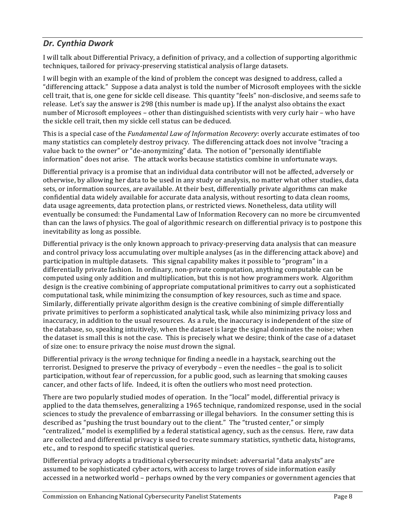## *Dr. Cynthia Dwork*

I will talk about Differential Privacy, a definition of privacy, and a collection of supporting algorithmic techniques, tailored for privacy-preserving statistical analysis of large datasets.

I will begin with an example of the kind of problem the concept was designed to address, called a "differencing attack." Suppose a data analyst is told the number of Microsoft employees with the sickle cell trait, that is, one gene for sickle cell disease. This quantity "feels" non-disclosive, and seems safe to release. Let's say the answer is 298 (this number is made up). If the analyst also obtains the exact number of Microsoft employees – other than distinguished scientists with very curly hair – who have the sickle cell trait, then my sickle cell status can be deduced.

This is a special case of the *Fundamental Law of Information Recovery*: overly accurate estimates of too many statistics can completely destroy privacy. The differencing attack does not involve "tracing a value back to the owner" or "de-anonymizing" data. The notion of "personally identifiable information" does not arise. The attack works because statistics combine in unfortunate ways.

Differential privacy is a promise that an individual data contributor will not be affected, adversely or otherwise, by allowing her data to be used in any study or analysis, no matter what other studies, data sets, or information sources, are available. At their best, differentially private algorithms can make confidential data widely available for accurate data analysis, without resorting to data clean rooms, data usage agreements, data protection plans, or restricted views. Nonetheless, data utility will eventually be consumed: the Fundamental Law of Information Recovery can no more be circumvented than can the laws of physics. The goal of algorithmic research on differential privacy is to postpone this inevitability as long as possible.

Differential privacy is the only known approach to privacy-preserving data analysis that can measure and control privacy loss accumulating over multiple analyses (as in the differencing attack above) and participation in multiple datasets. This signal capability makes it possible to "program" in a differentially private fashion. In ordinary, non-private computation, anything computable can be computed using only addition and multiplication, but this is not how programmers work. Algorithm design is the creative combining of appropriate computational primitives to carry out a sophisticated computational task, while minimizing the consumption of key resources, such as time and space. Similarly, differentially private algorithm design is the creative combining of simple differentially private primitives to perform a sophisticated analytical task, while also minimizing privacy loss and inaccuracy, in addition to the usual resources. As a rule, the inaccuracy is independent of the size of the database, so, speaking intuitively, when the dataset is large the signal dominates the noise; when the dataset is small this is not the case. This is precisely what we desire; think of the case of a dataset of size one: to ensure privacy the noise *must* drown the signal.

Differential privacy is the *wrong* technique for finding a needle in a haystack, searching out the terrorist. Designed to preserve the privacy of everybody  $-$  even the needles  $-$  the goal is to solicit participation, without fear of repercussion, for a public good, such as learning that smoking causes cancer, and other facts of life. Indeed, it is often the outliers who most need protection.

There are two popularly studied modes of operation. In the "local" model, differential privacy is applied to the data themselves, generalizing a 1965 technique, randomized response, used in the social sciences to study the prevalence of embarrassing or illegal behaviors. In the consumer setting this is described as "pushing the trust boundary out to the client." The "trusted center," or simply "centralized," model is exemplified by a federal statistical agency, such as the census. Here, raw data are collected and differential privacy is used to create summary statistics, synthetic data, histograms, etc., and to respond to specific statistical queries.

Differential privacy adopts a traditional cybersecurity mindset: adversarial "data analysts" are assumed to be sophisticated cyber actors, with access to large troves of side information easily accessed in a networked world – perhaps owned by the very companies or government agencies that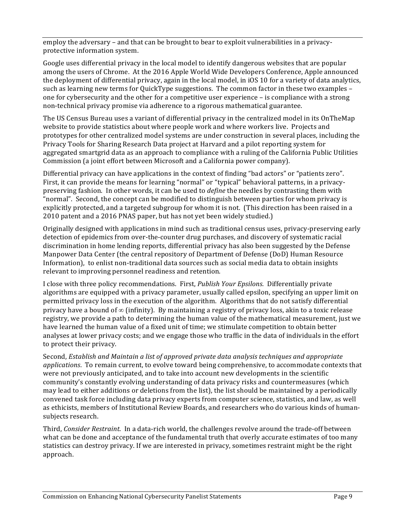employ the adversary – and that can be brought to bear to exploit vulnerabilities in a privacyprotective information system.

Google uses differential privacy in the local model to identify dangerous websites that are popular among the users of Chrome. At the 2016 Apple World Wide Developers Conference, Apple announced the deployment of differential privacy, again in the local model, in iOS 10 for a variety of data analytics, such as learning new terms for QuickType suggestions. The common factor in these two examples  $$ one for cybersecurity and the other for a competitive user experience – is compliance with a strong non-technical privacy promise via adherence to a rigorous mathematical guarantee.

The US Census Bureau uses a variant of differential privacy in the centralized model in its OnTheMap website to provide statistics about where people work and where workers live. Projects and prototypes for other centralized model systems are under construction in several places, including the Privacy Tools for Sharing Research Data project at Harvard and a pilot reporting system for aggregated smartgrid data as an approach to compliance with a ruling of the California Public Utilities Commission (a joint effort between Microsoft and a California power company).

Differential privacy can have applications in the context of finding "bad actors" or "patients zero". First, it can provide the means for learning "normal" or "typical" behavioral patterns, in a privacypreserving fashion. In other words, it can be used to *define* the needles by contrasting them with "normal". Second, the concept can be modified to distinguish between parties for whom privacy is explicitly protected, and a targeted subgroup for whom it is not. (This direction has been raised in a 2010 patent and a 2016 PNAS paper, but has not yet been widely studied.)

Originally designed with applications in mind such as traditional census uses, privacy-preserving early detection of epidemics from over-the-counter drug purchases, and discovery of systematic racial discrimination in home lending reports, differential privacy has also been suggested by the Defense Manpower Data Center (the central repository of Department of Defense (DoD) Human Resource Information), to enlist non-traditional data sources such as social media data to obtain insights relevant to improving personnel readiness and retention.

I close with three policy recommendations. First, *Publish Your Epsilons*. Differentially private algorithms are equipped with a privacy parameter, usually called epsilon, specifying an upper limit on permitted privacy loss in the execution of the algorithm. Algorithms that do not satisfy differential privacy have a bound of  $\infty$  (infinity). By maintaining a registry of privacy loss, akin to a toxic release registry, we provide a path to determining the human value of the mathematical measurement, just we have learned the human value of a fixed unit of time; we stimulate competition to obtain better analyses at lower privacy costs; and we engage those who traffic in the data of individuals in the effort to protect their privacy.

Second, *Establish and Maintain a list of approved private data analysis techniques and appropriate applications*. To remain current, to evolve toward being comprehensive, to accommodate contexts that were not previously anticipated, and to take into account new developments in the scientific community's constantly evolving understanding of data privacy risks and countermeasures (which may lead to either additions or deletions from the list), the list should be maintained by a periodically convened task force including data privacy experts from computer science, statistics, and law, as well as ethicists, members of Institutional Review Boards, and researchers who do various kinds of humansubjects research.

Third, *Consider Restraint*. In a data-rich world, the challenges revolve around the trade-off between what can be done and acceptance of the fundamental truth that overly accurate estimates of too many statistics can destroy privacy. If we are interested in privacy, sometimes restraint might be the right approach.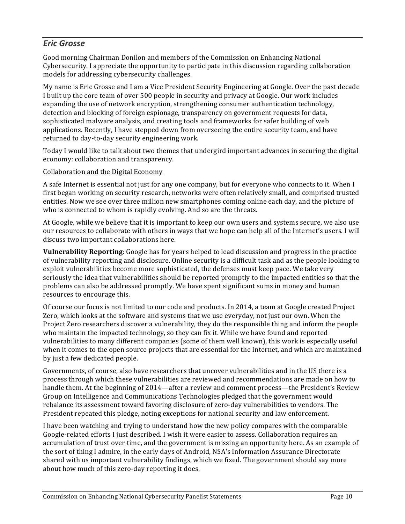## *Eric Grosse*

Good morning Chairman Donilon and members of the Commission on Enhancing National Cybersecurity. I appreciate the opportunity to participate in this discussion regarding collaboration models for addressing cybersecurity challenges.

My name is Eric Grosse and I am a Vice President Security Engineering at Google. Over the past decade I built up the core team of over 500 people in security and privacy at Google. Our work includes expanding the use of network encryption, strengthening consumer authentication technology, detection and blocking of foreign espionage, transparency on government requests for data, sophisticated malware analysis, and creating tools and frameworks for safer building of web applications. Recently, I have stepped down from overseeing the entire security team, and have returned to day-to-day security engineering work.

Today I would like to talk about two themes that undergird important advances in securing the digital economy: collaboration and transparency.

#### Collaboration and the Digital Economy

A safe Internet is essential not just for any one company, but for everyone who connects to it. When I first began working on security research, networks were often relatively small, and comprised trusted entities. Now we see over three million new smartphones coming online each day, and the picture of who is connected to whom is rapidly evolving. And so are the threats.

At Google, while we believe that it is important to keep our own users and systems secure, we also use our resources to collaborate with others in ways that we hope can help all of the Internet's users. I will discuss two important collaborations here.

**Vulnerability Reporting**: Google has for years helped to lead discussion and progress in the practice of vulnerability reporting and disclosure. Online security is a difficult task and as the people looking to exploit vulnerabilities become more sophisticated, the defenses must keep pace. We take very seriously the idea that vulnerabilities should be reported promptly to the impacted entities so that the problems can also be addressed promptly. We have spent significant sums in money and human resources to encourage this.

Of course our focus is not limited to our code and products. In 2014, a team at Google created Project Zero, which looks at the software and systems that we use everyday, not just our own. When the Project Zero researchers discover a vulnerability, they do the responsible thing and inform the people who maintain the impacted technology, so they can fix it. While we have found and reported vulnerabilities to many different companies (some of them well known), this work is especially useful when it comes to the open source projects that are essential for the Internet, and which are maintained by just a few dedicated people.

Governments, of course, also have researchers that uncover vulnerabilities and in the US there is a process through which these vulnerabilities are reviewed and recommendations are made on how to handle them. At the beginning of 2014—after a review and comment process—the President's Review Group on Intelligence and Communications Technologies pledged that the government would rebalance its assessment toward favoring disclosure of zero-day vulnerabilities to vendors. The President repeated this pledge, noting exceptions for national security and law enforcement.

I have been watching and trying to understand how the new policy compares with the comparable Google-related efforts I just described. I wish it were easier to assess. Collaboration requires an accumulation of trust over time, and the government is missing an opportunity here. As an example of the sort of thing I admire, in the early days of Android, NSA's Information Assurance Directorate shared with us important vulnerability findings, which we fixed. The government should say more about how much of this zero-day reporting it does.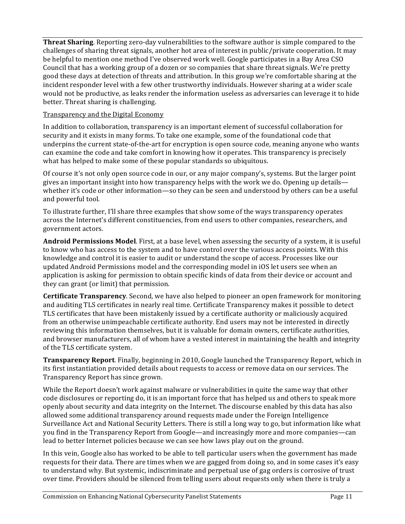**Threat Sharing**. Reporting zero-day vulnerabilities to the software author is simple compared to the challenges of sharing threat signals, another hot area of interest in public/private cooperation. It may be helpful to mention one method I've observed work well. Google participates in a Bay Area CSO Council that has a working group of a dozen or so companies that share threat signals. We're pretty good these days at detection of threats and attribution. In this group we're comfortable sharing at the incident responder level with a few other trustworthy individuals. However sharing at a wider scale would not be productive, as leaks render the information useless as adversaries can leverage it to hide better. Threat sharing is challenging.

#### Transparency and the Digital Economy

In addition to collaboration, transparency is an important element of successful collaboration for security and it exists in many forms. To take one example, some of the foundational code that underpins the current state-of-the-art for encryption is open source code, meaning anyone who wants can examine the code and take comfort in knowing how it operates. This transparency is precisely what has helped to make some of these popular standards so ubiquitous.

Of course it's not only open source code in our, or any major company's, systems. But the larger point gives an important insight into how transparency helps with the work we do. Opening up details whether it's code or other information—so they can be seen and understood by others can be a useful and powerful tool.

To illustrate further, I'll share three examples that show some of the ways transparency operates across the Internet's different constituencies, from end users to other companies, researchers, and government actors.

**Android Permissions Model**. First, at a base level, when assessing the security of a system, it is useful to know who has access to the system and to have control over the various access points. With this knowledge and control it is easier to audit or understand the scope of access. Processes like our updated Android Permissions model and the corresponding model in iOS let users see when an application is asking for permission to obtain specific kinds of data from their device or account and they can grant (or limit) that permission.

**Certificate Transparency**. Second, we have also helped to pioneer an open framework for monitoring and auditing TLS certificates in nearly real time. Certificate Transparency makes it possible to detect TLS certificates that have been mistakenly issued by a certificate authority or maliciously acquired from an otherwise unimpeachable certificate authority. End users may not be interested in directly reviewing this information themselves, but it is valuable for domain owners, certificate authorities, and browser manufacturers, all of whom have a vested interest in maintaining the health and integrity of the TLS certificate system.

**Transparency Report**. Finally, beginning in 2010, Google launched the Transparency Report, which in its first instantiation provided details about requests to access or remove data on our services. The Transparency Report has since grown.

While the Report doesn't work against malware or vulnerabilities in quite the same way that other code disclosures or reporting do, it is an important force that has helped us and others to speak more openly about security and data integrity on the Internet. The discourse enabled by this data has also allowed some additional transparency around requests made under the Foreign Intelligence Surveillance Act and National Security Letters. There is still a long way to go, but information like what you find in the Transparency Report from Google—and increasingly more and more companies—can lead to better Internet policies because we can see how laws play out on the ground.

In this vein, Google also has worked to be able to tell particular users when the government has made requests for their data. There are times when we are gagged from doing so, and in some cases it's easy to understand why. But systemic, indiscriminate and perpetual use of gag orders is corrosive of trust over time. Providers should be silenced from telling users about requests only when there is truly a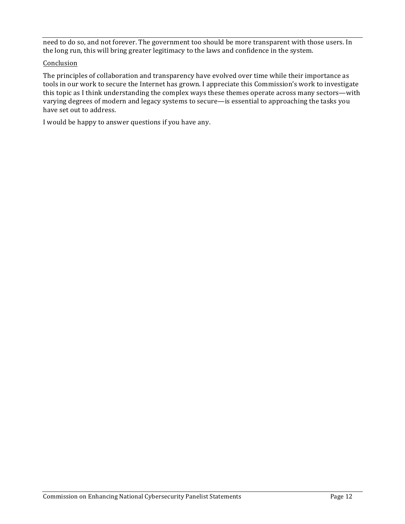need to do so, and not forever. The government too should be more transparent with those users. In the long run, this will bring greater legitimacy to the laws and confidence in the system.

#### Conclusion

The principles of collaboration and transparency have evolved over time while their importance as tools in our work to secure the Internet has grown. I appreciate this Commission's work to investigate this topic as I think understanding the complex ways these themes operate across many sectors—with varying degrees of modern and legacy systems to secure—is essential to approaching the tasks you have set out to address.

I would be happy to answer questions if you have any.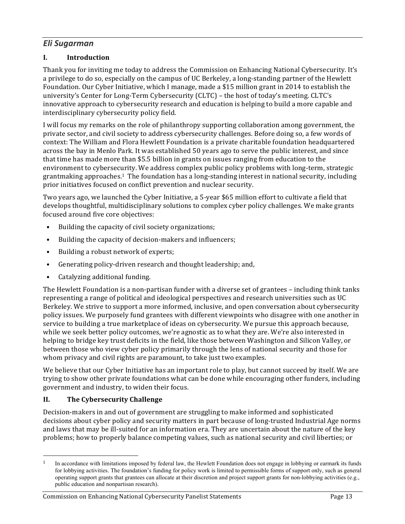## *Eli Sugarman*

#### **I. Introduction**

Thank you for inviting me today to address the Commission on Enhancing National Cybersecurity. It's a privilege to do so, especially on the campus of UC Berkeley, a long-standing partner of the Hewlett Foundation. Our Cyber Initiative, which I manage, made a \$15 million grant in 2014 to establish the university's Center for Long-Term Cybersecurity (CLTC) – the host of today's meeting. CLTC's innovative approach to cybersecurity research and education is helping to build a more capable and interdisciplinary cybersecurity policy field.

I will focus my remarks on the role of philanthropy supporting collaboration among government, the private sector, and civil society to address cybersecurity challenges. Before doing so, a few words of context: The William and Flora Hewlett Foundation is a private charitable foundation headquartered across the bay in Menlo Park. It was established 50 years ago to serve the public interest, and since that time has made more than \$5.5 billion in grants on issues ranging from education to the environment to cybersecurity. We address complex public policy problems with long-term, strategic grantmaking approaches.<sup>1</sup> The foundation has a long-standing interest in national security, including prior initiatives focused on conflict prevention and nuclear security.

Two years ago, we launched the Cyber Initiative, a 5-year \$65 million effort to cultivate a field that develops thoughtful, multidisciplinary solutions to complex cyber policy challenges. We make grants focused around five core objectives:

- Building the capacity of civil society organizations;
- Building the capacity of decision-makers and influencers;
- Building a robust network of experts;
- Generating policy-driven research and thought leadership; and,
- Catalyzing additional funding.

The Hewlett Foundation is a non-partisan funder with a diverse set of grantees – including think tanks representing a range of political and ideological perspectives and research universities such as UC Berkeley. We strive to support a more informed, inclusive, and open conversation about cybersecurity policy issues. We purposely fund grantees with different viewpoints who disagree with one another in service to building a true marketplace of ideas on cybersecurity. We pursue this approach because, while we seek better policy outcomes, we're agnostic as to what they are. We're also interested in helping to bridge key trust deficits in the field, like those between Washington and Silicon Valley, or between those who view cyber policy primarily through the lens of national security and those for whom privacy and civil rights are paramount, to take just two examples.

We believe that our Cyber Initiative has an important role to play, but cannot succeed by itself. We are trying to show other private foundations what can be done while encouraging other funders, including government and industry, to widen their focus.

#### **II. The Cybersecurity Challenge**

<u> 1989 - Johann Stein, marwolaethau a bh</u>

Decision-makers in and out of government are struggling to make informed and sophisticated decisions about cyber policy and security matters in part because of long-trusted Industrial Age norms and laws that may be ill-suited for an information era. They are uncertain about the nature of the key problems; how to properly balance competing values, such as national security and civil liberties; or

<sup>&</sup>lt;sup>1</sup> In accordance with limitations imposed by federal law, the Hewlett Foundation does not engage in lobbying or earmark its funds for lobbying activities. The foundation's funding for policy work is limited to permissible forms of support only, such as general operating support grants that grantees can allocate at their discretion and project support grants for non-lobbying activities (e.g., public education and nonpartisan research).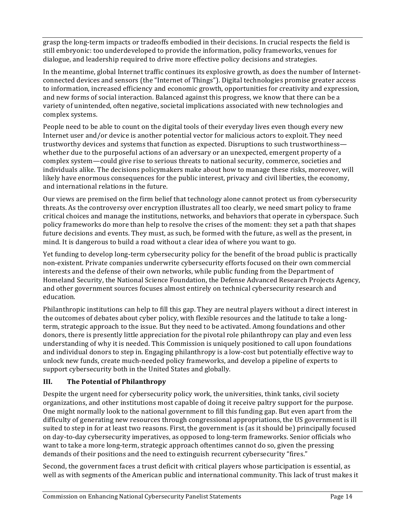grasp the long-term impacts or tradeoffs embodied in their decisions. In crucial respects the field is still embryonic: too underdeveloped to provide the information, policy frameworks, venues for dialogue, and leadership required to drive more effective policy decisions and strategies.

In the meantime, global Internet traffic continues its explosive growth, as does the number of Internetconnected devices and sensors (the "Internet of Things"). Digital technologies promise greater access to information, increased efficiency and economic growth, opportunities for creativity and expression, and new forms of social interaction. Balanced against this progress, we know that there can be a variety of unintended, often negative, societal implications associated with new technologies and complex systems. 

People need to be able to count on the digital tools of their everyday lives even though every new Internet user and/or device is another potential vector for malicious actors to exploit. They need trustworthy devices and systems that function as expected. Disruptions to such trustworthiness whether due to the purposeful actions of an adversary or an unexpected, emergent property of a complex system—could give rise to serious threats to national security, commerce, societies and individuals alike. The decisions policymakers make about how to manage these risks, moreover, will likely have enormous consequences for the public interest, privacy and civil liberties, the economy, and international relations in the future.

Our views are premised on the firm belief that technology alone cannot protect us from cybersecurity threats. As the controversy over encryption illustrates all too clearly, we need smart policy to frame critical choices and manage the institutions, networks, and behaviors that operate in cyberspace. Such policy frameworks do more than help to resolve the crises of the moment: they set a path that shapes future decisions and events. They must, as such, be formed with the future, as well as the present, in mind. It is dangerous to build a road without a clear idea of where you want to go.

Yet funding to develop long-term cybersecurity policy for the benefit of the broad public is practically non-existent. Private companies underwrite cybersecurity efforts focused on their own commercial interests and the defense of their own networks, while public funding from the Department of Homeland Security, the National Science Foundation, the Defense Advanced Research Projects Agency, and other government sources focuses almost entirely on technical cybersecurity research and education.

Philanthropic institutions can help to fill this gap. They are neutral players without a direct interest in the outcomes of debates about cyber policy, with flexible resources and the latitude to take a longterm, strategic approach to the issue. But they need to be activated. Among foundations and other donors, there is presently little appreciation for the pivotal role philanthropy can play and even less understanding of why it is needed. This Commission is uniquely positioned to call upon foundations and individual donors to step in. Engaging philanthropy is a low-cost but potentially effective way to unlock new funds, create much-needed policy frameworks, and develop a pipeline of experts to support cybersecurity both in the United States and globally.

#### **III.** The Potential of Philanthropy

Despite the urgent need for cybersecurity policy work, the universities, think tanks, civil society organizations, and other institutions most capable of doing it receive paltry support for the purpose. One might normally look to the national government to fill this funding gap. But even apart from the difficulty of generating new resources through congressional appropriations, the US government is ill suited to step in for at least two reasons. First, the government is (as it should be) principally focused on day-to-day cybersecurity imperatives, as opposed to long-term frameworks. Senior officials who want to take a more long-term, strategic approach oftentimes cannot do so, given the pressing demands of their positions and the need to extinguish recurrent cybersecurity "fires."

Second, the government faces a trust deficit with critical players whose participation is essential, as well as with segments of the American public and international community. This lack of trust makes it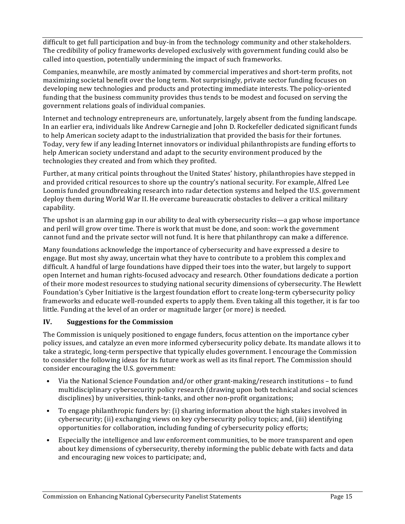difficult to get full participation and buy-in from the technology community and other stakeholders. The credibility of policy frameworks developed exclusively with government funding could also be called into question, potentially undermining the impact of such frameworks.

Companies, meanwhile, are mostly animated by commercial imperatives and short-term profits, not maximizing societal benefit over the long term. Not surprisingly, private sector funding focuses on developing new technologies and products and protecting immediate interests. The policy-oriented funding that the business community provides thus tends to be modest and focused on serving the government relations goals of individual companies.

Internet and technology entrepreneurs are, unfortunately, largely absent from the funding landscape. In an earlier era, individuals like Andrew Carnegie and John D. Rockefeller dedicated significant funds to help American society adapt to the industrialization that provided the basis for their fortunes. Today, very few if any leading Internet innovators or individual philanthropists are funding efforts to help American society understand and adapt to the security environment produced by the technologies they created and from which they profited.

Further, at many critical points throughout the United States' history, philanthropies have stepped in and provided critical resources to shore up the country's national security. For example, Alfred Lee Loomis funded groundbreaking research into radar detection systems and helped the U.S. government deploy them during World War II. He overcame bureaucratic obstacles to deliver a critical military capability. 

The upshot is an alarming gap in our ability to deal with cybersecurity risks—a gap whose importance and peril will grow over time. There is work that must be done, and soon: work the government cannot fund and the private sector will not fund. It is here that philanthropy can make a difference.

Many foundations acknowledge the importance of cybersecurity and have expressed a desire to engage. But most shy away, uncertain what they have to contribute to a problem this complex and difficult. A handful of large foundations have dipped their toes into the water, but largely to support open Internet and human rights-focused advocacy and research. Other foundations dedicate a portion of their more modest resources to studying national security dimensions of cybersecurity. The Hewlett Foundation's Cyber Initiative is the largest foundation effort to create long-term cybersecurity policy frameworks and educate well-rounded experts to apply them. Even taking all this together, it is far too little. Funding at the level of an order or magnitude larger (or more) is needed.

#### **IV.** Suggestions for the Commission

The Commission is uniquely positioned to engage funders, focus attention on the importance cyber policy issues, and catalyze an even more informed cybersecurity policy debate. Its mandate allows it to take a strategic, long-term perspective that typically eludes government. I encourage the Commission to consider the following ideas for its future work as well as its final report. The Commission should consider encouraging the U.S. government:

- Via the National Science Foundation and/or other grant-making/research institutions to fund multidisciplinary cybersecurity policy research (drawing upon both technical and social sciences disciplines) by universities, think-tanks, and other non-profit organizations;
- To engage philanthropic funders by: (i) sharing information about the high stakes involved in cybersecurity; (ii) exchanging views on key cybersecurity policy topics; and, (iii) identifying opportunities for collaboration, including funding of cybersecurity policy efforts;
- Especially the intelligence and law enforcement communities, to be more transparent and open about key dimensions of cybersecurity, thereby informing the public debate with facts and data and encouraging new voices to participate; and,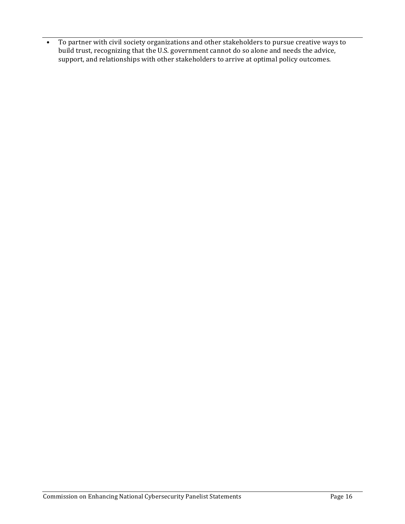• To partner with civil society organizations and other stakeholders to pursue creative ways to build trust, recognizing that the U.S. government cannot do so alone and needs the advice, support, and relationships with other stakeholders to arrive at optimal policy outcomes.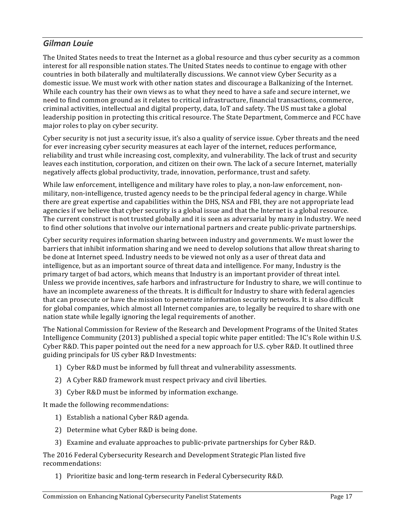## *Gilman Louie*

The United States needs to treat the Internet as a global resource and thus cyber security as a common interest for all responsible nation states. The United States needs to continue to engage with other countries in both bilaterally and multilaterally discussions. We cannot view Cyber Security as a domestic issue. We must work with other nation states and discourage a Balkanizing of the Internet. While each country has their own views as to what they need to have a safe and secure internet, we need to find common ground as it relates to critical infrastructure, financial transactions, commerce, criminal activities, intellectual and digital property, data, IoT and safety. The US must take a global leadership position in protecting this critical resource. The State Department, Commerce and FCC have major roles to play on cyber security.

Cyber security is not just a security issue, it's also a quality of service issue. Cyber threats and the need for ever increasing cyber security measures at each layer of the internet, reduces performance, reliability and trust while increasing cost, complexity, and vulnerability. The lack of trust and security leaves each institution, corporation, and citizen on their own. The lack of a secure Internet, materially negatively affects global productivity, trade, innovation, performance, trust and safety.

While law enforcement, intelligence and military have roles to play, a non-law enforcement, nonmilitary, non-intelligence, trusted agency needs to be the principal federal agency in charge. While there are great expertise and capabilities within the DHS, NSA and FBI, they are not appropriate lead agencies if we believe that cyber security is a global issue and that the Internet is a global resource. The current construct is not trusted globally and it is seen as adversarial by many in Industry. We need to find other solutions that involve our international partners and create public-private partnerships.

Cyber security requires information sharing between industry and governments. We must lower the barriers that inhibit information sharing and we need to develop solutions that allow threat sharing to be done at Internet speed. Industry needs to be viewed not only as a user of threat data and intelligence, but as an important source of threat data and intelligence. For many, Industry is the primary target of bad actors, which means that Industry is an important provider of threat intel. Unless we provide incentives, safe harbors and infrastructure for Industry to share, we will continue to have an incomplete awareness of the threats. It is difficult for Industry to share with federal agencies that can prosecute or have the mission to penetrate information security networks. It is also difficult for global companies, which almost all Internet companies are, to legally be required to share with one nation state while legally ignoring the legal requirements of another.

The National Commission for Review of the Research and Development Programs of the United States Intelligence Community (2013) published a special topic white paper entitled: The IC's Role within U.S. Cyber  $R&D$ . This paper pointed out the need for a new approach for U.S. cyber  $R&D$ . It outlined three guiding principals for US cyber R&D Investments:

- 1) Cyber R&D must be informed by full threat and vulnerability assessments.
- 2) A Cyber R&D framework must respect privacy and civil liberties.
- 3) Cyber R&D must be informed by information exchange.

It made the following recommendations:

- 1) Establish a national Cyber R&D agenda.
- 2) Determine what Cyber R&D is being done.
- 3) Examine and evaluate approaches to public-private partnerships for Cyber R&D.

The 2016 Federal Cybersecurity Research and Development Strategic Plan listed five recommendations:

1) Prioritize basic and long-term research in Federal Cybersecurity R&D.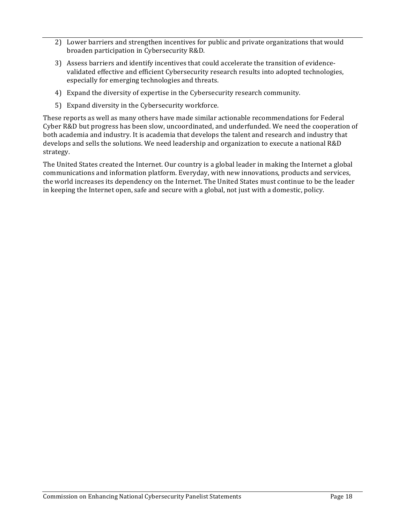- 2) Lower barriers and strengthen incentives for public and private organizations that would broaden participation in Cybersecurity R&D.
- 3) Assess barriers and identify incentives that could accelerate the transition of evidencevalidated effective and efficient Cybersecurity research results into adopted technologies, especially for emerging technologies and threats.
- 4) Expand the diversity of expertise in the Cybersecurity research community.
- 5) Expand diversity in the Cybersecurity workforce.

These reports as well as many others have made similar actionable recommendations for Federal Cyber R&D but progress has been slow, uncoordinated, and underfunded. We need the cooperation of both academia and industry. It is academia that develops the talent and research and industry that develops and sells the solutions. We need leadership and organization to execute a national R&D strategy.

The United States created the Internet. Our country is a global leader in making the Internet a global communications and information platform. Everyday, with new innovations, products and services, the world increases its dependency on the Internet. The United States must continue to be the leader in keeping the Internet open, safe and secure with a global, not just with a domestic, policy.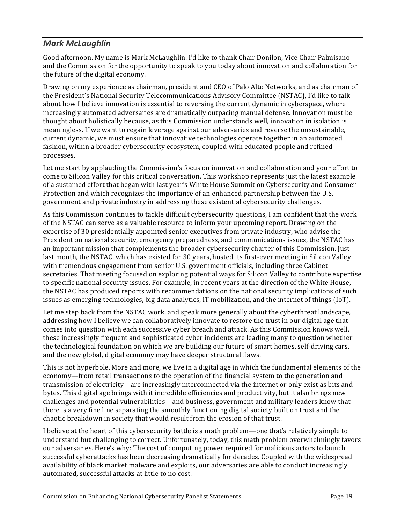## *Mark McLaughlin*

Good afternoon. My name is Mark McLaughlin. I'd like to thank Chair Donilon, Vice Chair Palmisano and the Commission for the opportunity to speak to you today about innovation and collaboration for the future of the digital economy.

Drawing on my experience as chairman, president and CEO of Palo Alto Networks, and as chairman of the President's National Security Telecommunications Advisory Committee (NSTAC), I'd like to talk about how I believe innovation is essential to reversing the current dynamic in cyberspace, where increasingly automated adversaries are dramatically outpacing manual defense. Innovation must be thought about holistically because, as this Commission understands well, innovation in isolation is meaningless. If we want to regain leverage against our adversaries and reverse the unsustainable, current dynamic, we must ensure that innovative technologies operate together in an automated fashion, within a broader cybersecurity ecosystem, coupled with educated people and refined processes.

Let me start by applauding the Commission's focus on innovation and collaboration and your effort to come to Silicon Valley for this critical conversation. This workshop represents just the latest example of a sustained effort that began with last year's White House Summit on Cybersecurity and Consumer Protection and which recognizes the importance of an enhanced partnership between the U.S. government and private industry in addressing these existential cybersecurity challenges.

As this Commission continues to tackle difficult cybersecurity questions, I am confident that the work of the NSTAC can serve as a valuable resource to inform your upcoming report. Drawing on the expertise of 30 presidentially appointed senior executives from private industry, who advise the President on national security, emergency preparedness, and communications issues, the NSTAC has an important mission that complements the broader cybersecurity charter of this Commission. Just last month, the NSTAC, which has existed for 30 years, hosted its first-ever meeting in Silicon Valley with tremendous engagement from senior U.S. government officials, including three Cabinet secretaries. That meeting focused on exploring potential ways for Silicon Valley to contribute expertise to specific national security issues. For example, in recent years at the direction of the White House, the NSTAC has produced reports with recommendations on the national security implications of such issues as emerging technologies, big data analytics, IT mobilization, and the internet of things (IoT).

Let me step back from the NSTAC work, and speak more generally about the cyberthreat landscape, addressing how I believe we can collaboratively innovate to restore the trust in our digital age that comes into question with each successive cyber breach and attack. As this Commission knows well, these increasingly frequent and sophisticated cyber incidents are leading many to question whether the technological foundation on which we are building our future of smart homes, self-driving cars, and the new global, digital economy may have deeper structural flaws.

This is not hyperbole. More and more, we live in a digital age in which the fundamental elements of the economy—from retail transactions to the operation of the financial system to the generation and transmission of electricity – are increasingly interconnected via the internet or only exist as bits and bytes. This digital age brings with it incredible efficiencies and productivity, but it also brings new challenges and potential vulnerabilities—and business, government and military leaders know that there is a very fine line separating the smoothly functioning digital society built on trust and the chaotic breakdown in society that would result from the erosion of that trust.

I believe at the heart of this cybersecurity battle is a math problem—one that's relatively simple to understand but challenging to correct. Unfortunately, today, this math problem overwhelmingly favors our adversaries. Here's why: The cost of computing power required for malicious actors to launch successful cyberattacks has been decreasing dramatically for decades. Coupled with the widespread availability of black market malware and exploits, our adversaries are able to conduct increasingly automated, successful attacks at little to no cost.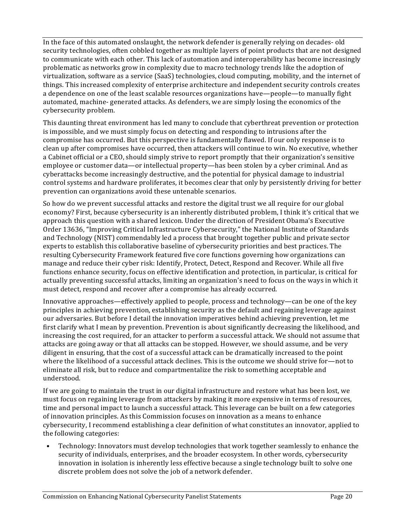In the face of this automated onslaught, the network defender is generally relying on decades- old security technologies, often cobbled together as multiple layers of point products that are not designed to communicate with each other. This lack of automation and interoperability has become increasingly problematic as networks grow in complexity due to macro technology trends like the adoption of virtualization, software as a service (SaaS) technologies, cloud computing, mobility, and the internet of things. This increased complexity of enterprise architecture and independent security controls creates a dependence on one of the least scalable resources organizations have—people—to manually fight automated, machine- generated attacks. As defenders, we are simply losing the economics of the cybersecurity problem.

This daunting threat environment has led many to conclude that cyberthreat prevention or protection is impossible, and we must simply focus on detecting and responding to intrusions after the compromise has occurred. But this perspective is fundamentally flawed. If our only response is to clean up after compromises have occurred, then attackers will continue to win. No executive, whether a Cabinet official or a CEO, should simply strive to report promptly that their organization's sensitive employee or customer data—or intellectual property—has been stolen by a cyber criminal. And as cyberattacks become increasingly destructive, and the potential for physical damage to industrial control systems and hardware proliferates, it becomes clear that only by persistently driving for better prevention can organizations avoid these untenable scenarios.

So how do we prevent successful attacks and restore the digital trust we all require for our global economy? First, because cybersecurity is an inherently distributed problem, I think it's critical that we approach this question with a shared lexicon. Under the direction of President Obama's Executive Order 13636, "Improving Critical Infrastructure Cybersecurity," the National Institute of Standards and Technology (NIST) commendably led a process that brought together public and private sector experts to establish this collaborative baseline of cybersecurity priorities and best practices. The resulting Cybersecurity Framework featured five core functions governing how organizations can manage and reduce their cyber risk: Identify, Protect, Detect, Respond and Recover. While all five functions enhance security, focus on effective identification and protection, in particular, is critical for actually preventing successful attacks, limiting an organization's need to focus on the ways in which it must detect, respond and recover after a compromise has already occurred.

Innovative approaches—effectively applied to people, process and technology—can be one of the key principles in achieving prevention, establishing security as the default and regaining leverage against our adversaries. But before I detail the innovation imperatives behind achieving prevention, let me first clarify what I mean by prevention. Prevention is about significantly decreasing the likelihood, and increasing the cost required, for an attacker to perform a successful attack. We should not assume that attacks are going away or that all attacks can be stopped. However, we should assume, and be very diligent in ensuring, that the cost of a successful attack can be dramatically increased to the point where the likelihood of a successful attack declines. This is the outcome we should strive for—not to eliminate all risk, but to reduce and compartmentalize the risk to something acceptable and understood.

If we are going to maintain the trust in our digital infrastructure and restore what has been lost, we must focus on regaining leverage from attackers by making it more expensive in terms of resources, time and personal impact to launch a successful attack. This leverage can be built on a few categories of innovation principles. As this Commission focuses on innovation as a means to enhance cybersecurity, I recommend establishing a clear definition of what constitutes an innovator, applied to the following categories:

Technology: Innovators must develop technologies that work together seamlessly to enhance the security of individuals, enterprises, and the broader ecosystem. In other words, cybersecurity innovation in isolation is inherently less effective because a single technology built to solve one discrete problem does not solve the job of a network defender.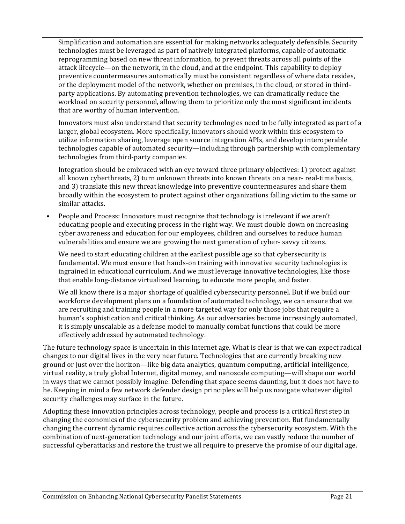Simplification and automation are essential for making networks adequately defensible. Security technologies must be leveraged as part of natively integrated platforms, capable of automatic reprogramming based on new threat information, to prevent threats across all points of the attack lifecycle—on the network, in the cloud, and at the endpoint. This capability to deploy preventive countermeasures automatically must be consistent regardless of where data resides, or the deployment model of the network, whether on premises, in the cloud, or stored in thirdparty applications. By automating prevention technologies, we can dramatically reduce the workload on security personnel, allowing them to prioritize only the most significant incidents that are worthy of human intervention.

Innovators must also understand that security technologies need to be fully integrated as part of a larger, global ecosystem. More specifically, innovators should work within this ecosystem to utilize information sharing, leverage open source integration APIs, and develop interoperable technologies capable of automated security—including through partnership with complementary technologies from third-party companies.

Integration should be embraced with an eye toward three primary objectives: 1) protect against all known cyberthreats, 2) turn unknown threats into known threats on a near- real-time basis, and 3) translate this new threat knowledge into preventive countermeasures and share them broadly within the ecosystem to protect against other organizations falling victim to the same or similar attacks.

People and Process: Innovators must recognize that technology is irrelevant if we aren't educating people and executing process in the right way. We must double down on increasing cyber awareness and education for our employees, children and ourselves to reduce human vulnerabilities and ensure we are growing the next generation of cyber-savvy citizens.

We need to start educating children at the earliest possible age so that cybersecurity is fundamental. We must ensure that hands-on training with innovative security technologies is ingrained in educational curriculum. And we must leverage innovative technologies, like those that enable long-distance virtualized learning, to educate more people, and faster.

We all know there is a major shortage of qualified cybersecurity personnel. But if we build our workforce development plans on a foundation of automated technology, we can ensure that we are recruiting and training people in a more targeted way for only those jobs that require a human's sophistication and critical thinking. As our adversaries become increasingly automated, it is simply unscalable as a defense model to manually combat functions that could be more effectively addressed by automated technology.

The future technology space is uncertain in this Internet age. What is clear is that we can expect radical changes to our digital lives in the very near future. Technologies that are currently breaking new ground or just over the horizon—like big data analytics, quantum computing, artificial intelligence, virtual reality, a truly global Internet, digital money, and nanoscale computing—will shape our world in ways that we cannot possibly imagine. Defending that space seems daunting, but it does not have to be. Keeping in mind a few network defender design principles will help us navigate whatever digital security challenges may surface in the future.

Adopting these innovation principles across technology, people and process is a critical first step in changing the economics of the cybersecurity problem and achieving prevention. But fundamentally changing the current dynamic requires collective action across the cybersecurity ecosystem. With the combination of next-generation technology and our joint efforts, we can vastly reduce the number of successful cyberattacks and restore the trust we all require to preserve the promise of our digital age.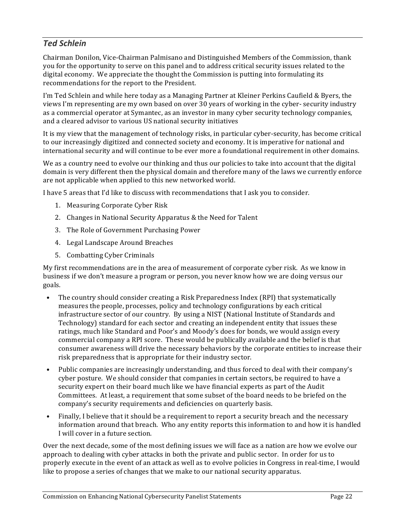## *Ted Schlein*

Chairman Donilon, Vice-Chairman Palmisano and Distinguished Members of the Commission, thank you for the opportunity to serve on this panel and to address critical security issues related to the digital economy. We appreciate the thought the Commission is putting into formulating its recommendations for the report to the President.

I'm Ted Schlein and while here today as a Managing Partner at Kleiner Perkins Caufield & Byers, the views I'm representing are my own based on over 30 years of working in the cyber- security industry as a commercial operator at Symantec, as an investor in many cyber security technology companies, and a cleared advisor to various US national security initiatives

It is my view that the management of technology risks, in particular cyber-security, has become critical to our increasingly digitized and connected society and economy. It is imperative for national and international security and will continue to be ever more a foundational requirement in other domains.

We as a country need to evolve our thinking and thus our policies to take into account that the digital domain is very different then the physical domain and therefore many of the laws we currently enforce are not applicable when applied to this new networked world.

I have 5 areas that I'd like to discuss with recommendations that I ask you to consider.

- 1. Measuring Corporate Cyber Risk
- 2. Changes in National Security Apparatus & the Need for Talent
- 3. The Role of Government Purchasing Power
- 4. Legal Landscape Around Breaches
- 5. Combatting Cyber Criminals

My first recommendations are in the area of measurement of corporate cyber risk. As we know in business if we don't measure a program or person, you never know how we are doing versus our goals. 

- The country should consider creating a Risk Preparedness Index (RPI) that systematically measures the people, processes, policy and technology configurations by each critical infrastructure sector of our country. By using a NIST (National Institute of Standards and Technology) standard for each sector and creating an independent entity that issues these ratings, much like Standard and Poor's and Moody's does for bonds, we would assign every commercial company a RPI score. These would be publically available and the belief is that consumer awareness will drive the necessary behaviors by the corporate entities to increase their risk preparedness that is appropriate for their industry sector.
- Public companies are increasingly understanding, and thus forced to deal with their company's cyber posture. We should consider that companies in certain sectors, be required to have a security expert on their board much like we have financial experts as part of the Audit Committees. At least, a requirement that some subset of the board needs to be briefed on the company's security requirements and deficiencies on quarterly basis.
- Finally, I believe that it should be a requirement to report a security breach and the necessary information around that breach. Who any entity reports this information to and how it is handled I will cover in a future section.

Over the next decade, some of the most defining issues we will face as a nation are how we evolve our approach to dealing with cyber attacks in both the private and public sector. In order for us to properly execute in the event of an attack as well as to evolve policies in Congress in real-time, I would like to propose a series of changes that we make to our national security apparatus.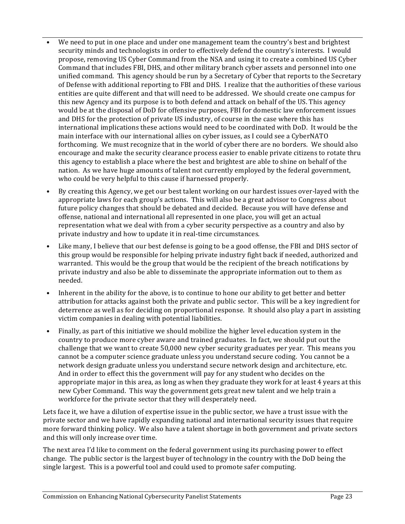- We need to put in one place and under one management team the country's best and brightest security minds and technologists in order to effectively defend the country's interests. I would propose, removing US Cyber Command from the NSA and using it to create a combined US Cyber Command that includes FBI, DHS, and other military branch cyber assets and personnel into one unified command. This agency should be run by a Secretary of Cyber that reports to the Secretary of Defense with additional reporting to FBI and DHS. I realize that the authorities of these various entities are quite different and that will need to be addressed. We should create one campus for this new Agency and its purpose is to both defend and attack on behalf of the US. This agency would be at the disposal of DoD for offensive purposes, FBI for domestic law enforcement issues and DHS for the protection of private US industry, of course in the case where this has international implications these actions would need to be coordinated with DoD. It would be the main interface with our international allies on cyber issues, as I could see a CyberNATO forthcoming. We must recognize that in the world of cyber there are no borders. We should also encourage and make the security clearance process easier to enable private citizens to rotate thru this agency to establish a place where the best and brightest are able to shine on behalf of the nation. As we have huge amounts of talent not currently employed by the federal government, who could be very helpful to this cause if harnessed properly.
- By creating this Agency, we get our best talent working on our hardest issues over-layed with the appropriate laws for each group's actions. This will also be a great advisor to Congress about future policy changes that should be debated and decided. Because you will have defense and offense, national and international all represented in one place, you will get an actual representation what we deal with from a cyber security perspective as a country and also by private industry and how to update it in real-time circumstances.
- Like many, I believe that our best defense is going to be a good offense, the FBI and DHS sector of this group would be responsible for helping private industry fight back if needed, authorized and warranted. This would be the group that would be the recipient of the breach notifications by private industry and also be able to disseminate the appropriate information out to them as needed.
- Inherent in the ability for the above, is to continue to hone our ability to get better and better attribution for attacks against both the private and public sector. This will be a key ingredient for deterrence as well as for deciding on proportional response. It should also play a part in assisting victim companies in dealing with potential liabilities.
- Finally, as part of this initiative we should mobilize the higher level education system in the country to produce more cyber aware and trained graduates. In fact, we should put out the challenge that we want to create 50,000 new cyber security graduates per year. This means you cannot be a computer science graduate unless you understand secure coding. You cannot be a network design graduate unless you understand secure network design and architecture, etc. And in order to effect this the government will pay for any student who decides on the appropriate major in this area, as long as when they graduate they work for at least 4 years at this new Cyber Command. This way the government gets great new talent and we help train a workforce for the private sector that they will desperately need.

Lets face it, we have a dilution of expertise issue in the public sector, we have a trust issue with the private sector and we have rapidly expanding national and international security issues that require more forward thinking policy. We also have a talent shortage in both government and private sectors and this will only increase over time.

The next area I'd like to comment on the federal government using its purchasing power to effect change. The public sector is the largest buyer of technology in the country with the DoD being the single largest. This is a powerful tool and could used to promote safer computing.